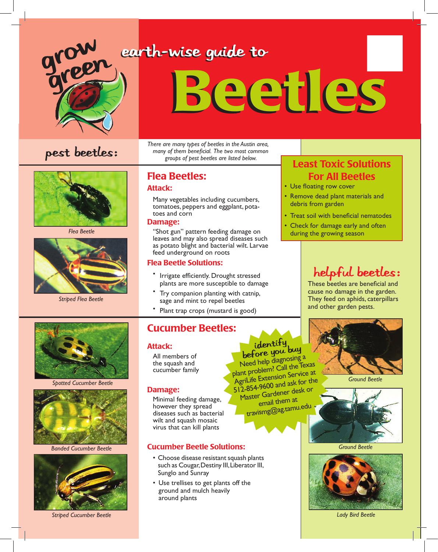

### earth-wise guide to

# Beetles



*Flea Beetle*



*Striped Flea Beetle*



#### Flea Beetles:

#### Attack:

Many vegetables including cucumbers, tomatoes, peppers and eggplant, potatoes and corn

#### Damage:

"Shot gun" pattern feeding damage on leaves and may also spread diseases such as potato blight and bacterial wilt. Larvae feed underground on roots

#### Flea Beetle Solutions:

- Irrigate efficiently. Drought stressed plants are more susceptible to damage
- Try companion planting with catnip, sage and mint to repel beetles
- Plant trap crops (mustard is good)

#### Cucumber Beetles:

#### Attack:

All members of the squash and cucumber family

#### Damage:

Minimal feeding damage, however they spread diseases such as bacterial wilt and squash mosaic virus that can kill plants

#### Cucumber Beetle Solutions:

- Choose disease resistant squash plants such as Cougar, Destiny III, Liberator III, Sunglo and Sunray
- Use trellises to get plants off the ground and mulch heavily around plants

### For All Beetles

- Use floating row cover
- Remove dead plant materials and debris from garden
- Treat soil with beneficial nematodes
- Check for damage early and often during the growing season

#### helpful beetles:

These beetles are beneficial and cause no damage in the garden. They feed on aphids, caterpillars and other garden pests.



*Ground Beetle*



*Ground Beetle*



*Lady Bird Beetle*

*Spotted Cucumber Beetle*



*Banded Cucumber Beetle*



*Striped Cucumber Beetle*

# identify<br>before you buy

Need help diagnosing a plant problem? Call the Texas AgriLife Extension Service at 512-854-9600 and ask for the Master Gardener desk or email them at travismg@ag.tamu.edu